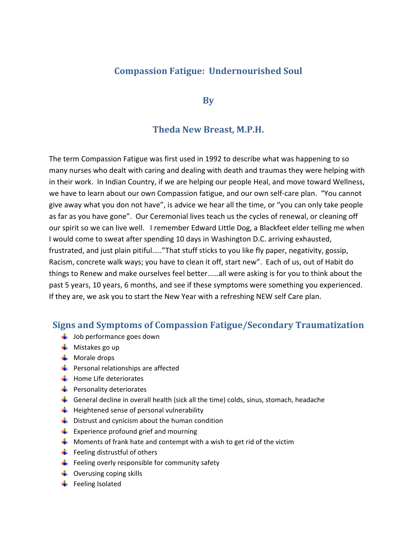## **Compassion Fatigue: Undernourished Soul**

**By**

#### **Theda New Breast, M.P.H.**

The term Compassion Fatigue was first used in 1992 to describe what was happening to so many nurses who dealt with caring and dealing with death and traumas they were helping with in their work. In Indian Country, if we are helping our people Heal, and move toward Wellness, we have to learn about our own Compassion fatigue, and our own self-care plan. "You cannot give away what you don not have", is advice we hear all the time, or "you can only take people as far as you have gone". Our Ceremonial lives teach us the cycles of renewal, or cleaning off our spirit so we can live well. I remember Edward Little Dog, a Blackfeet elder telling me when I would come to sweat after spending 10 days in Washington D.C. arriving exhausted, frustrated, and just plain pitiful….."That stuff sticks to you like fly paper, negativity, gossip, Racism, concrete walk ways; you have to clean it off, start new". Each of us, out of Habit do things to Renew and make ourselves feel better……all were asking is for you to think about the past 5 years, 10 years, 6 months, and see if these symptoms were something you experienced. If they are, we ask you to start the New Year with a refreshing NEW self Care plan.

#### **Signs and Symptoms of Compassion Fatigue/Secondary Traumatization**

- $\frac{1}{2}$  Job performance goes down
- $\blacksquare$  Mistakes go up
- $\blacksquare$  Morale drops
- $\frac{1}{2}$  Personal relationships are affected
- $\bigstar$  Home Life deteriorates
- $\frac{1}{2}$  Personality deteriorates
- General decline in overall health (sick all the time) colds, sinus, stomach, headache
- $\bigstar$  Heightened sense of personal vulnerability
- $\frac{1}{2}$  Distrust and cynicism about the human condition
- $\frac{1}{\sqrt{2}}$  Experience profound grief and mourning
- $\frac{1}{2}$  Moments of frank hate and contempt with a wish to get rid of the victim
- $\frac{1}{\sqrt{2}}$  Feeling distrustful of others
- $\frac{1}{2}$  Feeling overly responsible for community safety
- $\downarrow$  Overusing coping skills
- $\blacksquare$  Feeling Isolated